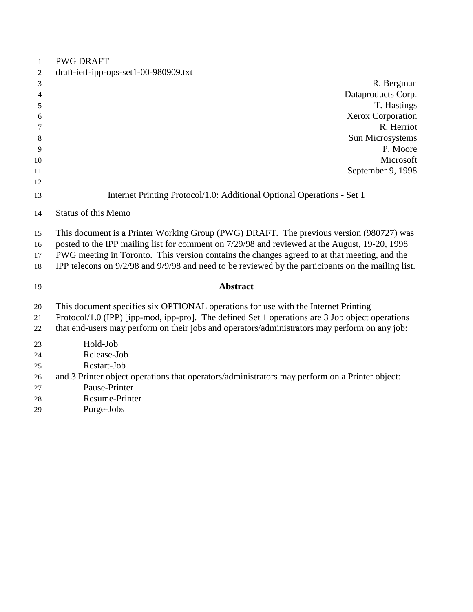| 1  | <b>PWG DRAFT</b>                                                                                   |
|----|----------------------------------------------------------------------------------------------------|
| 2  | draft-ietf-ipp-ops-set1-00-980909.txt                                                              |
| 3  | R. Bergman                                                                                         |
| 4  | Dataproducts Corp.                                                                                 |
| 5  | T. Hastings                                                                                        |
| 6  | Xerox Corporation                                                                                  |
| 7  | R. Herriot                                                                                         |
| 8  | Sun Microsystems                                                                                   |
| 9  | P. Moore                                                                                           |
| 10 | Microsoft                                                                                          |
| 11 | September 9, 1998                                                                                  |
| 12 |                                                                                                    |
| 13 | Internet Printing Protocol/1.0: Additional Optional Operations - Set 1                             |
| 14 | <b>Status of this Memo</b>                                                                         |
| 15 | This document is a Printer Working Group (PWG) DRAFT. The previous version (980727) was            |
| 16 | posted to the IPP mailing list for comment on 7/29/98 and reviewed at the August, 19-20, 1998      |
| 17 | PWG meeting in Toronto. This version contains the changes agreed to at that meeting, and the       |
| 18 | IPP telecons on 9/2/98 and 9/9/98 and need to be reviewed by the participants on the mailing list. |
| 19 | <b>Abstract</b>                                                                                    |
| 20 | This document specifies six OPTIONAL operations for use with the Internet Printing                 |
| 21 | Protocol/1.0 (IPP) [ipp-mod, ipp-pro]. The defined Set 1 operations are 3 Job object operations    |
| 22 | that end-users may perform on their jobs and operators/administrators may perform on any job:      |
| 23 | Hold-Job                                                                                           |
| 24 | Release-Job                                                                                        |
| 25 | Restart-Job                                                                                        |
| 26 | and 3 Printer object operations that operators/administrators may perform on a Printer object:     |
| 27 | Pause-Printer                                                                                      |
| 28 | Resume-Printer                                                                                     |
| 29 | Purge-Jobs                                                                                         |
|    |                                                                                                    |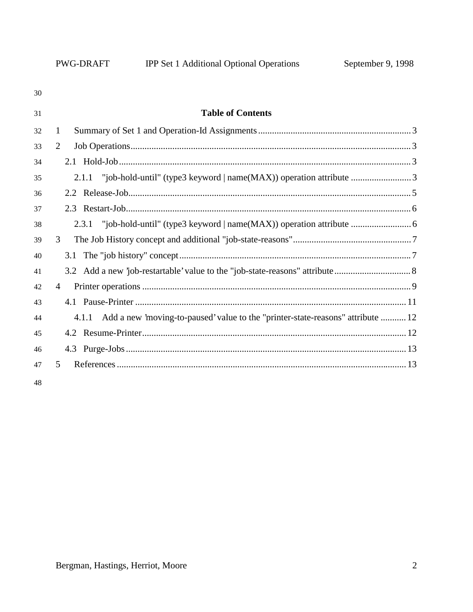| 30 |                                                                                          |
|----|------------------------------------------------------------------------------------------|
| 31 | <b>Table of Contents</b>                                                                 |
| 32 | 1                                                                                        |
| 33 | 2                                                                                        |
| 34 |                                                                                          |
| 35 |                                                                                          |
| 36 |                                                                                          |
| 37 |                                                                                          |
| 38 |                                                                                          |
| 39 | 3                                                                                        |
| 40 |                                                                                          |
| 41 |                                                                                          |
| 42 | 4                                                                                        |
| 43 |                                                                                          |
| 44 | Add a new 'moving-to-paused' value to the "printer-state-reasons" attribute  12<br>4.1.1 |
| 45 |                                                                                          |
| 46 |                                                                                          |
| 47 | 5                                                                                        |
|    |                                                                                          |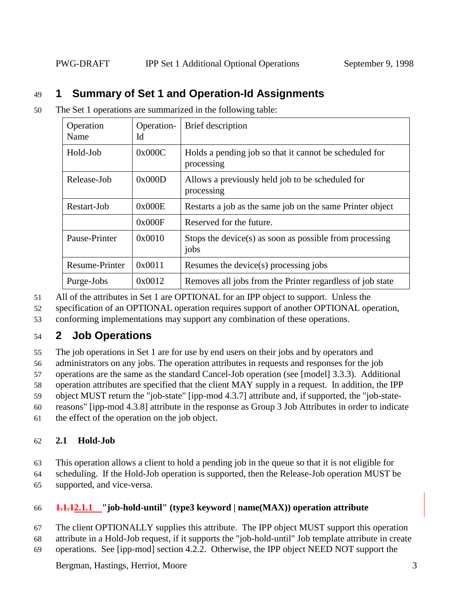# 49 **1 Summary of Set 1 and Operation-Id Assignments**

| 50 |  | The Set 1 operations are summarized in the following table: |  |  |
|----|--|-------------------------------------------------------------|--|--|
|    |  |                                                             |  |  |

| Operation<br>Name | Operation-<br>Id | Brief description                                                    |
|-------------------|------------------|----------------------------------------------------------------------|
| Hold-Job          | 0x000C           | Holds a pending job so that it cannot be scheduled for<br>processing |
| Release-Job       | 0x000D           | Allows a previously held job to be scheduled for<br>processing       |
| Restart-Job       | 0x000E           | Restarts a job as the same job on the same Printer object            |
|                   | 0x000F           | Reserved for the future.                                             |
| Pause-Printer     | 0x0010           | Stops the device(s) as soon as possible from processing<br>jobs      |
| Resume-Printer    | 0x0011           | Resumes the device(s) processing jobs                                |
| Purge-Jobs        | 0x0012           | Removes all jobs from the Printer regardless of job state            |

51 All of the attributes in Set 1 are OPTIONAL for an IPP object to support. Unless the

52 specification of an OPTIONAL operation requires support of another OPTIONAL operation,

53 conforming implementations may support any combination of these operations.

# 54 **2 Job Operations**

55 The job operations in Set 1 are for use by end users on their jobs and by operators and

56 administrators on any jobs. The operation attributes in requests and responses for the job

57 operations are the same as the standard Cancel-Job operation (see [model] 3.3.3). Additional

58 operation attributes are specified that the client MAY supply in a request. In addition, the IPP

59 object MUST return the "job-state" [ipp-mod 4.3.7] attribute and, if supported, the "job-state-

60 reasons" [ipp-mod 4.3.8] attribute in the response as Group 3 Job Attributes in order to indicate

61 the effect of the operation on the job object.

## 62 **2.1 Hold-Job**

63 This operation allows a client to hold a pending job in the queue so that it is not eligible for

64 scheduling. If the Hold-Job operation is supported, then the Release-Job operation MUST be 65 supported, and vice-versa.

## 66 **1.1.12.1.1 "job-hold-until" (type3 keyword | name(MAX)) operation attribute**

67 The client OPTIONALLY supplies this attribute. The IPP object MUST support this operation 68 attribute in a Hold-Job request, if it supports the "job-hold-until" Job template attribute in create 69 operations. See [ipp-mod] section 4.2.2. Otherwise, the IPP object NEED NOT support the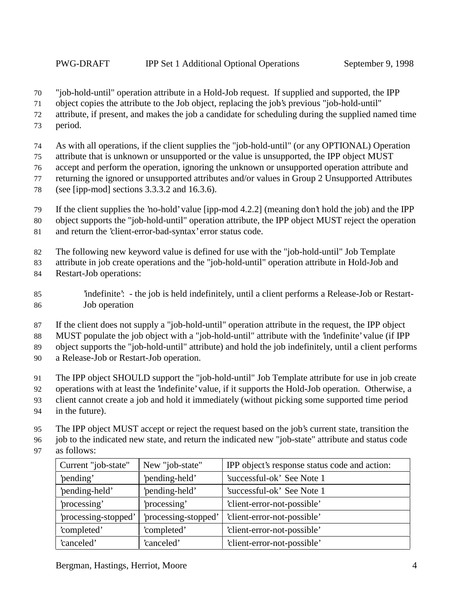"job-hold-until" operation attribute in a Hold-Job request. If supplied and supported, the IPP

object copies the attribute to the Job object, replacing the job's previous "job-hold-until"

attribute, if present, and makes the job a candidate for scheduling during the supplied named time

period.

As with all operations, if the client supplies the "job-hold-until" (or any OPTIONAL) Operation

attribute that is unknown or unsupported or the value is unsupported, the IPP object MUST

accept and perform the operation, ignoring the unknown or unsupported operation attribute and

returning the ignored or unsupported attributes and/or values in Group 2 Unsupported Attributes

(see [ipp-mod] sections 3.3.3.2 and 16.3.6).

If the client supplies the 'no-hold' value [ipp-mod 4.2.2] (meaning don't hold the job) and the IPP

- object supports the "job-hold-until" operation attribute, the IPP object MUST reject the operation
- and return the 'client-error-bad-syntax' error status code.

The following new keyword value is defined for use with the "job-hold-until" Job Template

attribute in job create operations and the "job-hold-until" operation attribute in Hold-Job and

- Restart-Job operations:
- 'indefinite': the job is held indefinitely, until a client performs a Release-Job or Restart-Job operation
- If the client does not supply a "job-hold-until" operation attribute in the request, the IPP object

MUST populate the job object with a "job-hold-until" attribute with the 'indefinite' value (if IPP

object supports the "job-hold-until" attribute) and hold the job indefinitely, until a client performs

a Release-Job or Restart-Job operation.

The IPP object SHOULD support the "job-hold-until" Job Template attribute for use in job create

- operations with at least the 'indefinite' value, if it supports the Hold-Job operation. Otherwise, a
- client cannot create a job and hold it immediately (without picking some supported time period
- in the future).

The IPP object MUST accept or reject the request based on the job's current state, transition the

job to the indicated new state, and return the indicated new "job-state" attribute and status code

as follows:

| Current "job-state"         | New "job-state"      | IPP object's response status code and action: |
|-----------------------------|----------------------|-----------------------------------------------|
| 'pending-held'<br>'pending' |                      | 'successful-ok' See Note 1                    |
| 'pending-held'              | 'pending-held'       | 'successful-ok' See Note 1                    |
| 'processing'                | 'processing'         | 'client-error-not-possible'                   |
| 'processing-stopped'        | 'processing-stopped' | 'client-error-not-possible'                   |
| 'completed'                 | 'completed'          | 'client-error-not-possible'                   |
| 'canceled'                  | 'canceled'           | 'client-error-not-possible'                   |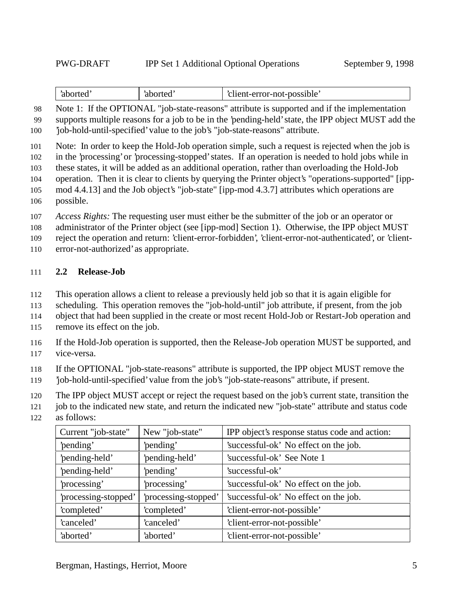| 'client-error-not-possible'<br>`aborted<br>aborted |
|----------------------------------------------------|
|----------------------------------------------------|

 Note 1: If the OPTIONAL "job-state-reasons" attribute is supported and if the implementation supports multiple reasons for a job to be in the 'pending-held' state, the IPP object MUST add the 'job-hold-until-specified' value to the job's "job-state-reasons" attribute.

Note: In order to keep the Hold-Job operation simple, such a request is rejected when the job is

in the 'processing' or 'processing-stopped' states. If an operation is needed to hold jobs while in

these states, it will be added as an additional operation, rather than overloading the Hold-Job

- operation. Then it is clear to clients by querying the Printer object's "operations-supported" [ipp-
- mod 4.4.13] and the Job object's "job-state" [ipp-mod 4.3.7] attributes which operations are possible.
- *Access Rights:* The requesting user must either be the submitter of the job or an operator or
- administrator of the Printer object (see [ipp-mod] Section 1). Otherwise, the IPP object MUST
- reject the operation and return: 'client-error-forbidden', 'client-error-not-authenticated', or 'client-
- error-not-authorized' as appropriate.

### **2.2 Release-Job**

- This operation allows a client to release a previously held job so that it is again eligible for
- scheduling. This operation removes the "job-hold-until" job attribute, if present, from the job
- object that had been supplied in the create or most recent Hold-Job or Restart-Job operation and
- remove its effect on the job.
- If the Hold-Job operation is supported, then the Release-Job operation MUST be supported, and vice-versa.
- If the OPTIONAL "job-state-reasons" attribute is supported, the IPP object MUST remove the
- 'job-hold-until-specified' value from the job's "job-state-reasons" attribute, if present.
- The IPP object MUST accept or reject the request based on the job's current state, transition the
- job to the indicated new state, and return the indicated new "job-state" attribute and status code
- as follows:

| Current "job-state"  | New "job-state"      | IPP object's response status code and action: |
|----------------------|----------------------|-----------------------------------------------|
| 'pending'            | 'pending'            | 'successful-ok' No effect on the job.         |
| 'pending-held'       | 'pending-held'       | 'successful-ok' See Note 1                    |
| 'pending-held'       | 'pending'            | 'successful-ok'                               |
| 'processing'         | 'processing'         | 'successful-ok' No effect on the job.         |
| 'processing-stopped' | 'processing-stopped' | 'successful-ok' No effect on the job.         |
| 'completed'          | 'completed'          | 'client-error-not-possible'                   |
| 'canceled'           | 'canceled'           | 'client-error-not-possible'                   |
| 'aborted'            | 'aborted'            | 'client-error-not-possible'                   |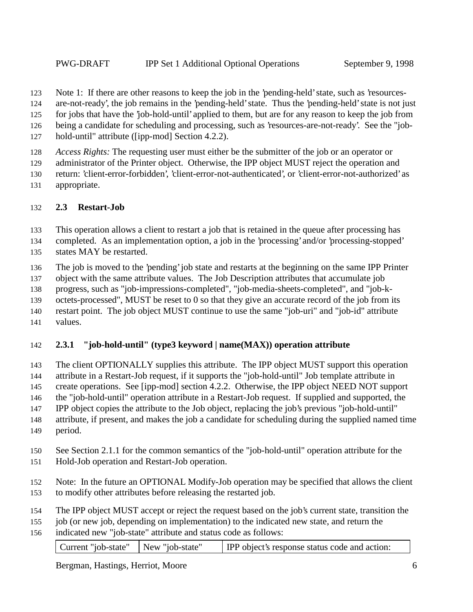Note 1: If there are other reasons to keep the job in the 'pending-held' state, such as 'resources-

are-not-ready', the job remains in the 'pending-held' state. Thus the 'pending-held' state is not just

for jobs that have the 'job-hold-until' applied to them, but are for any reason to keep the job from

- being a candidate for scheduling and processing, such as 'resources-are-not-ready'. See the "job-
- hold-until" attribute ([ipp-mod] Section 4.2.2).

*Access Rights:* The requesting user must either be the submitter of the job or an operator or

administrator of the Printer object. Otherwise, the IPP object MUST reject the operation and

- return: 'client-error-forbidden', 'client-error-not-authenticated', or 'client-error-not-authorized' as
- appropriate.

### **2.3 Restart-Job**

This operation allows a client to restart a job that is retained in the queue after processing has

- completed. As an implementation option, a job in the 'processing' and/or 'processing-stopped' states MAY be restarted.
- The job is moved to the 'pending' job state and restarts at the beginning on the same IPP Printer

object with the same attribute values. The Job Description attributes that accumulate job

progress, such as "job-impressions-completed", "job-media-sheets-completed", and "job-k-

octets-processed", MUST be reset to 0 so that they give an accurate record of the job from its

restart point. The job object MUST continue to use the same "job-uri" and "job-id" attribute

values.

### **2.3.1 "job-hold-until" (type3 keyword | name(MAX)) operation attribute**

The client OPTIONALLY supplies this attribute. The IPP object MUST support this operation

attribute in a Restart-Job request, if it supports the "job-hold-until" Job template attribute in

145 create operations. See [ipp-mod] section 4.2.2. Otherwise, the IPP object NEED NOT support

the "job-hold-until" operation attribute in a Restart-Job request. If supplied and supported, the

IPP object copies the attribute to the Job object, replacing the job's previous "job-hold-until"

- attribute, if present, and makes the job a candidate for scheduling during the supplied named time period.
- See Section 2.1.1 for the common semantics of the "job-hold-until" operation attribute for the
- Hold-Job operation and Restart-Job operation.
- Note: In the future an OPTIONAL Modify-Job operation may be specified that allows the client to modify other attributes before releasing the restarted job.
- The IPP object MUST accept or reject the request based on the job's current state, transition the

 job (or new job, depending on implementation) to the indicated new state, and return the indicated new "job-state" attribute and status code as follows:

| Current "job-state"   New "job-state"<br><b>IPP</b> object's response status code and action: |
|-----------------------------------------------------------------------------------------------|
|-----------------------------------------------------------------------------------------------|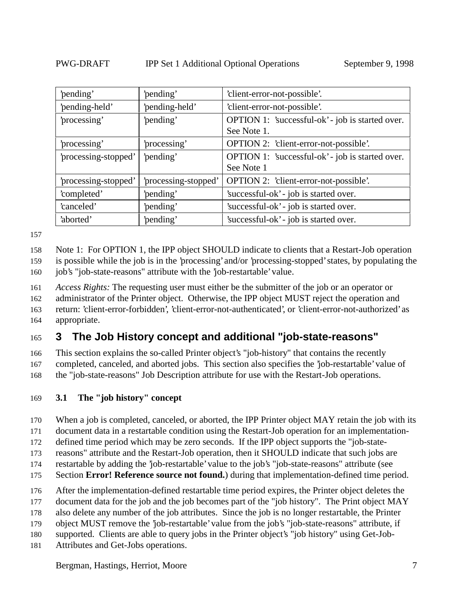| 'pending'            | 'pending'            | 'client-error-not-possible'.                     |
|----------------------|----------------------|--------------------------------------------------|
| 'pending-held'       | 'pending-held'       | 'client-error-not-possible'.                     |
| 'processing'         | 'pending'            | OPTION 1: 'successful-ok' - job is started over. |
|                      |                      | See Note 1.                                      |
| 'processing'         | processing'          | OPTION 2: 'client-error-not-possible'.           |
| 'processing-stopped' | 'pending'            | OPTION 1: 'successful-ok' - job is started over. |
|                      |                      | See Note 1                                       |
| 'processing-stopped' | 'processing-stopped' | OPTION 2: 'client-error-not-possible'.           |
| 'completed'          | 'pending'            | 'successful-ok' - job is started over.           |
| 'canceled'           | 'pending'            | 'successful-ok' - job is started over.           |
| 'aborted'            | 'pending'            | 'successful-ok' - job is started over.           |

Note 1: For OPTION 1, the IPP object SHOULD indicate to clients that a Restart-Job operation

is possible while the job is in the 'processing' and/or 'processing-stopped' states, by populating the

160 job's "job-state-reasons" attribute with the 'job-restartable' value.

*Access Rights:* The requesting user must either be the submitter of the job or an operator or

administrator of the Printer object. Otherwise, the IPP object MUST reject the operation and

 return: 'client-error-forbidden', 'client-error-not-authenticated', or 'client-error-not-authorized' as appropriate.

## **3 The Job History concept and additional "job-state-reasons"**

 This section explains the so-called Printer object's "job-history" that contains the recently completed, canceled, and aborted jobs. This section also specifies the 'job-restartable' value of

the "job-state-reasons" Job Description attribute for use with the Restart-Job operations.

#### **3.1 The "job history" concept**

When a job is completed, canceled, or aborted, the IPP Printer object MAY retain the job with its

document data in a restartable condition using the Restart-Job operation for an implementation-

defined time period which may be zero seconds. If the IPP object supports the "job-state-

reasons" attribute and the Restart-Job operation, then it SHOULD indicate that such jobs are

restartable by adding the 'job-restartable' value to the job's "job-state-reasons" attribute (see

Section **Error! Reference source not found.**) during that implementation-defined time period.

After the implementation-defined restartable time period expires, the Printer object deletes the

document data for the job and the job becomes part of the "job history". The Print object MAY

also delete any number of the job attributes. Since the job is no longer restartable, the Printer

object MUST remove the 'job-restartable' value from the job's "job-state-reasons" attribute, if

supported. Clients are able to query jobs in the Printer object's "job history" using Get-Job-

Attributes and Get-Jobs operations.

Bergman, Hastings, Herriot, Moore 7 and 7 and 7 and 7 and 7 and 7 and 7 and 7 and 7 and 7 and 7 and 7 and 7 and 7 and 7 and 7 and 7 and 7 and 7 and 7 and 7 and 7 and 7 and 7 and 7 and 7 and 7 and 7 and 7 and 7 and 7 and 7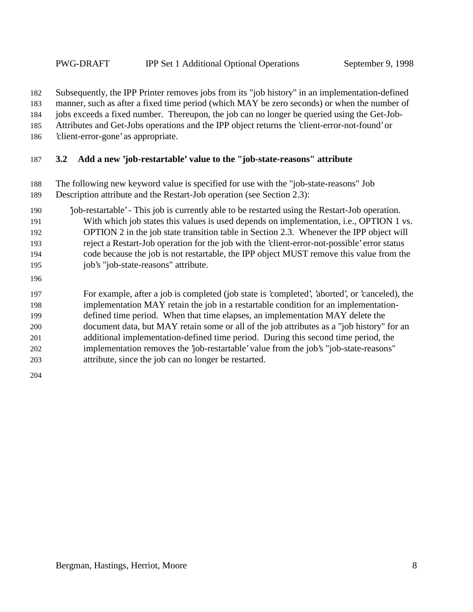Subsequently, the IPP Printer removes jobs from its "job history" in an implementation-defined manner, such as after a fixed time period (which MAY be zero seconds) or when the number of jobs exceeds a fixed number. Thereupon, the job can no longer be queried using the Get-Job-Attributes and Get-Jobs operations and the IPP object returns the 'client-error-not-found' or

'client-error-gone' as appropriate.

### **3.2 Add a new 'job-restartable' value to the "job-state-reasons" attribute**

- The following new keyword value is specified for use with the "job-state-reasons" Job Description attribute and the Restart-Job operation (see Section 2.3):
- 'job-restartable' This job is currently able to be restarted using the Restart-Job operation. With which job states this values is used depends on implementation, i.e., OPTION 1 vs. OPTION 2 in the job state transition table in Section 2.3. Whenever the IPP object will reject a Restart-Job operation for the job with the 'client-error-not-possible' error status code because the job is not restartable, the IPP object MUST remove this value from the job's "job-state-reasons" attribute.
- 

 For example, after a job is completed (job state is 'completed', 'aborted', or 'canceled), the implementation MAY retain the job in a restartable condition for an implementation- defined time period. When that time elapses, an implementation MAY delete the document data, but MAY retain some or all of the job attributes as a "job history" for an additional implementation-defined time period. During this second time period, the implementation removes the 'job-restartable' value from the job's "job-state-reasons" attribute, since the job can no longer be restarted.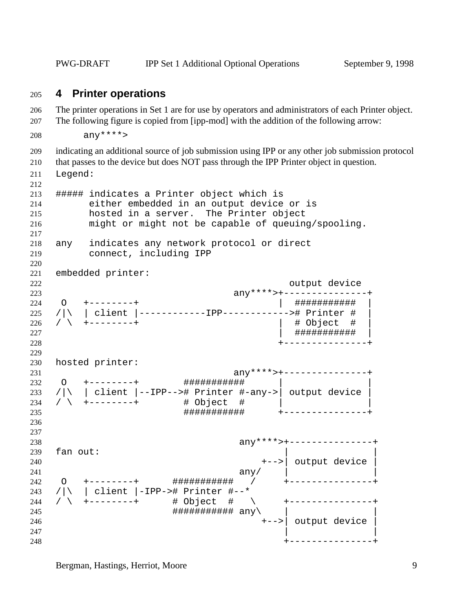PWG-DRAFT IPP Set 1 Additional Optional Operations September 9, 1998

#### **4 Printer operations**

 The printer operations in Set 1 are for use by operators and administrators of each Printer object. The following figure is copied from [ipp-mod] with the addition of the following arrow:

```
208 any ****>
```
indicating an additional source of job submission using IPP or any other job submission protocol

that passes to the device but does NOT pass through the IPP Printer object in question.

Legend:

```
212
213 ##### indicates a Printer object which is
214 either embedded in an output device or is
215 hosted in a server. The Printer object
216 might or might not be capable of queuing/spooling.
217
218 any indicates any network protocol or direct
219 connect, including IPP
220
221 embedded printer:
222 output device
223 any****>+---------------+
224 O +--------+ | ########### |
225 / | \ | client |-------------IPP--------------- | Printer #<br>226 / \ +--------+ | # Object #
226 / \ +--------+
227 | ########### |
228 +---------------+
229
230 hosted printer:
231 any****>+---------------+
232 O +--------+ ########### | |
233 /|\rangle | client |--IPP--># Printer #-any->| output device |
234 / \ +--------+ # Object # | |
235 ########### +---------------+
236
237
238 any****>+---------------+
239 fan out:
240 +-->| output device |
241 any/ \vert242 O +--------+ ########### / +---------------+
243 /|\ | client |-IPP-># Printer #--*
244 / \ +--------+ # Object # \ +---------------+
245 ########### any\ | |
246 +-->| output device |
247248 +---------------+
```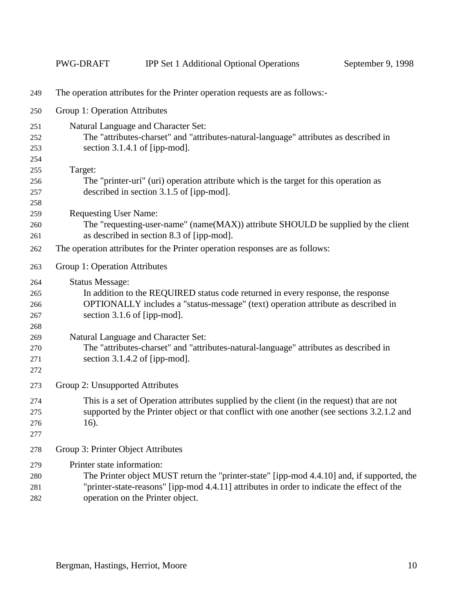|     | PWG-DRAFT                          | <b>IPP Set 1 Additional Optional Operations</b>                                             | September 9, 1998 |  |  |  |  |
|-----|------------------------------------|---------------------------------------------------------------------------------------------|-------------------|--|--|--|--|
| 249 |                                    | The operation attributes for the Printer operation requests are as follows:-                |                   |  |  |  |  |
| 250 |                                    | Group 1: Operation Attributes                                                               |                   |  |  |  |  |
| 251 |                                    | Natural Language and Character Set:                                                         |                   |  |  |  |  |
| 252 |                                    | The "attributes-charset" and "attributes-natural-language" attributes as described in       |                   |  |  |  |  |
| 253 |                                    | section 3.1.4.1 of [ipp-mod].                                                               |                   |  |  |  |  |
| 254 |                                    |                                                                                             |                   |  |  |  |  |
| 255 | Target:                            |                                                                                             |                   |  |  |  |  |
| 256 |                                    | The "printer-uri" (uri) operation attribute which is the target for this operation as       |                   |  |  |  |  |
| 257 |                                    | described in section 3.1.5 of [ipp-mod].                                                    |                   |  |  |  |  |
| 258 |                                    |                                                                                             |                   |  |  |  |  |
| 259 | <b>Requesting User Name:</b>       |                                                                                             |                   |  |  |  |  |
| 260 |                                    | The "requesting-user-name" (name(MAX)) attribute SHOULD be supplied by the client           |                   |  |  |  |  |
| 261 |                                    | as described in section 8.3 of [ipp-mod].                                                   |                   |  |  |  |  |
| 262 |                                    | The operation attributes for the Printer operation responses are as follows:                |                   |  |  |  |  |
| 263 | Group 1: Operation Attributes      |                                                                                             |                   |  |  |  |  |
| 264 | <b>Status Message:</b>             |                                                                                             |                   |  |  |  |  |
| 265 |                                    | In addition to the REQUIRED status code returned in every response, the response            |                   |  |  |  |  |
| 266 |                                    | OPTIONALLY includes a "status-message" (text) operation attribute as described in           |                   |  |  |  |  |
| 267 |                                    | section 3.1.6 of [ipp-mod].                                                                 |                   |  |  |  |  |
| 268 |                                    |                                                                                             |                   |  |  |  |  |
| 269 |                                    | Natural Language and Character Set:                                                         |                   |  |  |  |  |
| 270 |                                    | The "attributes-charset" and "attributes-natural-language" attributes as described in       |                   |  |  |  |  |
| 271 |                                    | section $3.1.4.2$ of [ipp-mod].                                                             |                   |  |  |  |  |
| 272 |                                    |                                                                                             |                   |  |  |  |  |
| 273 | Group 2: Unsupported Attributes    |                                                                                             |                   |  |  |  |  |
| 274 |                                    | This is a set of Operation attributes supplied by the client (in the request) that are not  |                   |  |  |  |  |
| 275 |                                    | supported by the Printer object or that conflict with one another (see sections 3.2.1.2 and |                   |  |  |  |  |
| 276 | 16).                               |                                                                                             |                   |  |  |  |  |
| 277 |                                    |                                                                                             |                   |  |  |  |  |
| 278 | Group 3: Printer Object Attributes |                                                                                             |                   |  |  |  |  |
| 279 | Printer state information:         |                                                                                             |                   |  |  |  |  |
| 280 |                                    | The Printer object MUST return the "printer-state" [ipp-mod 4.4.10] and, if supported, the  |                   |  |  |  |  |
| 281 |                                    | "printer-state-reasons" [ipp-mod 4.4.11] attributes in order to indicate the effect of the  |                   |  |  |  |  |
| 282 |                                    | operation on the Printer object.                                                            |                   |  |  |  |  |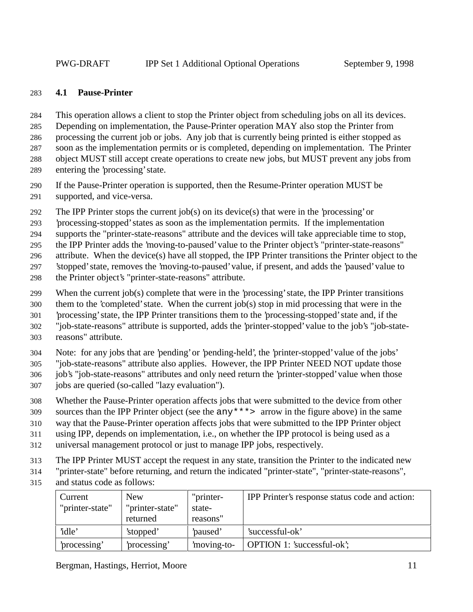#### **4.1 Pause-Printer**

This operation allows a client to stop the Printer object from scheduling jobs on all its devices.

Depending on implementation, the Pause-Printer operation MAY also stop the Printer from

processing the current job or jobs. Any job that is currently being printed is either stopped as

soon as the implementation permits or is completed, depending on implementation. The Printer

object MUST still accept create operations to create new jobs, but MUST prevent any jobs from

entering the 'processing' state.

 If the Pause-Printer operation is supported, then the Resume-Printer operation MUST be supported, and vice-versa.

292 The IPP Printer stops the current job(s) on its device(s) that were in the 'processing' or

'processing-stopped' states as soon as the implementation permits. If the implementation

supports the "printer-state-reasons" attribute and the devices will take appreciable time to stop,

the IPP Printer adds the 'moving-to-paused' value to the Printer object's "printer-state-reasons"

attribute. When the device(s) have all stopped, the IPP Printer transitions the Printer object to the

'stopped' state, removes the 'moving-to-paused' value, if present, and adds the 'paused' value to

- the Printer object's "printer-state-reasons" attribute.
- When the current job(s) complete that were in the 'processing' state, the IPP Printer transitions

them to the 'completed' state. When the current job(s) stop in mid processing that were in the

'processing' state, the IPP Printer transitions them to the 'processing-stopped' state and, if the

"job-state-reasons" attribute is supported, adds the 'printer-stopped' value to the job's "job-state-

reasons" attribute.

Note: for any jobs that are 'pending' or 'pending-held', the 'printer-stopped' value of the jobs'

"job-state-reasons" attribute also applies. However, the IPP Printer NEED NOT update those

job's "job-state-reasons" attributes and only need return the 'printer-stopped' value when those

- jobs are queried (so-called "lazy evaluation").
- Whether the Pause-Printer operation affects jobs that were submitted to the device from other

sources than the IPP Printer object (see the any\*\*\*> arrow in the figure above) in the same

way that the Pause-Printer operation affects jobs that were submitted to the IPP Printer object

using IPP, depends on implementation, i.e., on whether the IPP protocol is being used as a

- universal management protocol or just to manage IPP jobs, respectively.
- The IPP Printer MUST accept the request in any state, transition the Printer to the indicated new

"printer-state" before returning, and return the indicated "printer-state", "printer-state-reasons",

and status code as follows:

| Current<br>"printer-state" | <b>New</b><br>"printer-state"<br>returned | "printer-<br>state-<br>reasons" | IPP Printer's response status code and action: |
|----------------------------|-------------------------------------------|---------------------------------|------------------------------------------------|
| 'idle'                     | 'stopped'                                 | paused'                         | 'successful-ok'                                |
| processing'                | processing'                               | moving-to-                      | <b>OPTION</b> 1: 'successful-ok';              |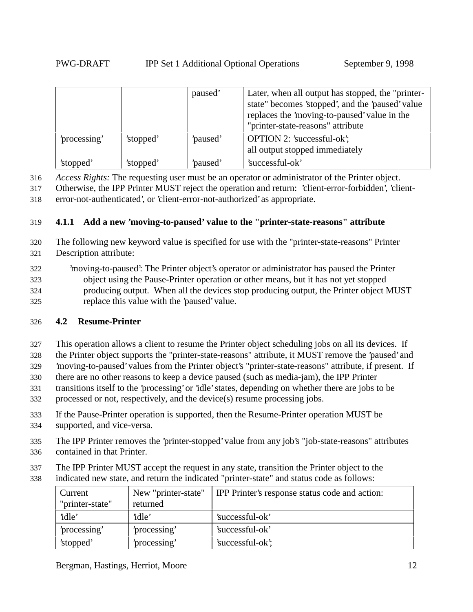|             |           | paused' | Later, when all output has stopped, the "printer-<br>state" becomes 'stopped', and the 'paused' value<br>replaces the 'moving-to-paused' value in the<br>"printer-state-reasons" attribute |
|-------------|-----------|---------|--------------------------------------------------------------------------------------------------------------------------------------------------------------------------------------------|
| processing' | 'stopped' | paused' | <b>OPTION 2: 'successful-ok';</b><br>all output stopped immediately                                                                                                                        |
| 'stopped'   | 'stopped' | paused' | 'successful-ok'                                                                                                                                                                            |

316 *Access Rights:* The requesting user must be an operator or administrator of the Printer object.

317 Otherwise, the IPP Printer MUST reject the operation and return: 'client-error-forbidden', 'client-318 error-not-authenticated', or 'client-error-not-authorized' as appropriate.

319 **4.1.1 Add a new 'moving-to-paused' value to the "printer-state-reasons" attribute**

- 320 The following new keyword value is specified for use with the "printer-state-reasons" Printer 321 Description attribute:
- 322 'moving-to-paused': The Printer object's operator or administrator has paused the Printer 323 object using the Pause-Printer operation or other means, but it has not yet stopped 324 producing output. When all the devices stop producing output, the Printer object MUST 325 replace this value with the 'paused' value.

#### 326 **4.2 Resume-Printer**

- 327 This operation allows a client to resume the Printer object scheduling jobs on all its devices. If
- 328 the Printer object supports the "printer-state-reasons" attribute, it MUST remove the 'paused' and
- 329 'moving-to-paused' values from the Printer object's "printer-state-reasons" attribute, if present. If
- 330 there are no other reasons to keep a device paused (such as media-jam), the IPP Printer
- 331 transitions itself to the 'processing' or 'idle' states, depending on whether there are jobs to be
- 332 processed or not, respectively, and the device(s) resume processing jobs.
- 333 If the Pause-Printer operation is supported, then the Resume-Printer operation MUST be
- 334 supported, and vice-versa.
- 335 The IPP Printer removes the 'printer-stopped' value from any job's "job-state-reasons" attributes 336 contained in that Printer.
- 337 The IPP Printer MUST accept the request in any state, transition the Printer object to the
- 338 indicated new state, and return the indicated "printer-state" and status code as follows:

| Current         | New "printer-state" | IPP Printer's response status code and action: |
|-----------------|---------------------|------------------------------------------------|
| "printer-state" | returned            |                                                |
| 'idle'          | 'idle'              | 'successful-ok'                                |
| processing'     | processing'         | 'successful-ok'                                |
| 'stopped'       | processing'         | 'successful-ok';                               |